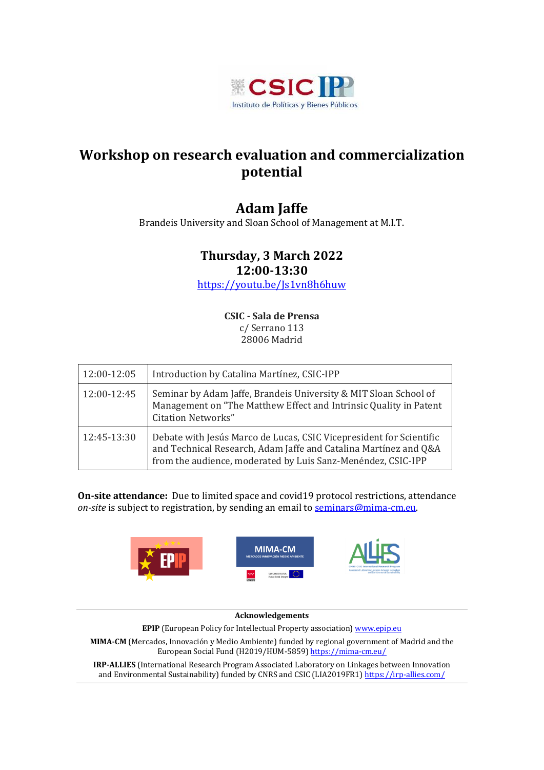

## **Workshop on research evaluation and commercialization potential**

## **Adam Jaffe**

Brandeis University and Sloan School of Management at M.I.T.

### **Thursday, 3 March 2022**

**12:00-13:30**

<https://youtu.be/Js1vn8h6huw>

**CSIC - Sala de Prensa** c/ Serrano 113 28006 Madrid

| 12:00-12:05 | Introduction by Catalina Martínez, CSIC-IPP                                                                                                                                                             |
|-------------|---------------------------------------------------------------------------------------------------------------------------------------------------------------------------------------------------------|
| 12:00-12:45 | Seminar by Adam Jaffe, Brandeis University & MIT Sloan School of<br>Management on "The Matthew Effect and Intrinsic Quality in Patent"<br><b>Citation Networks"</b>                                     |
| 12:45-13:30 | Debate with Jesús Marco de Lucas, CSIC Vicepresident for Scientific<br>and Technical Research, Adam Jaffe and Catalina Martínez and Q&A<br>from the audience, moderated by Luis Sanz-Menéndez, CSIC-IPP |

**On-site attendance:** Due to limited space and covid19 protocol restrictions, attendance on-site is subject to registration, by sending an email to **seminars@mima-cm.eu**.



#### **Acknowledgements**

**EPIP** (European Policy for Intellectual Property association) [www.epip.eu](http://www.epip.eu/)

**MIMA-CM** (Mercados, Innovación y Medio Ambiente) funded by regional government of Madrid and the European Social Fund (H2019/HUM-5859[\) https://mima-cm.eu/](https://mima-cm.eu/)

**IRP-ALLIES** (International Research Program Associated Laboratory on Linkages between Innovation and Environmental Sustainability) funded by CNRS and CSIC (LIA2019FR1[\) https://irp-allies.com/](https://irp-allies.com/)